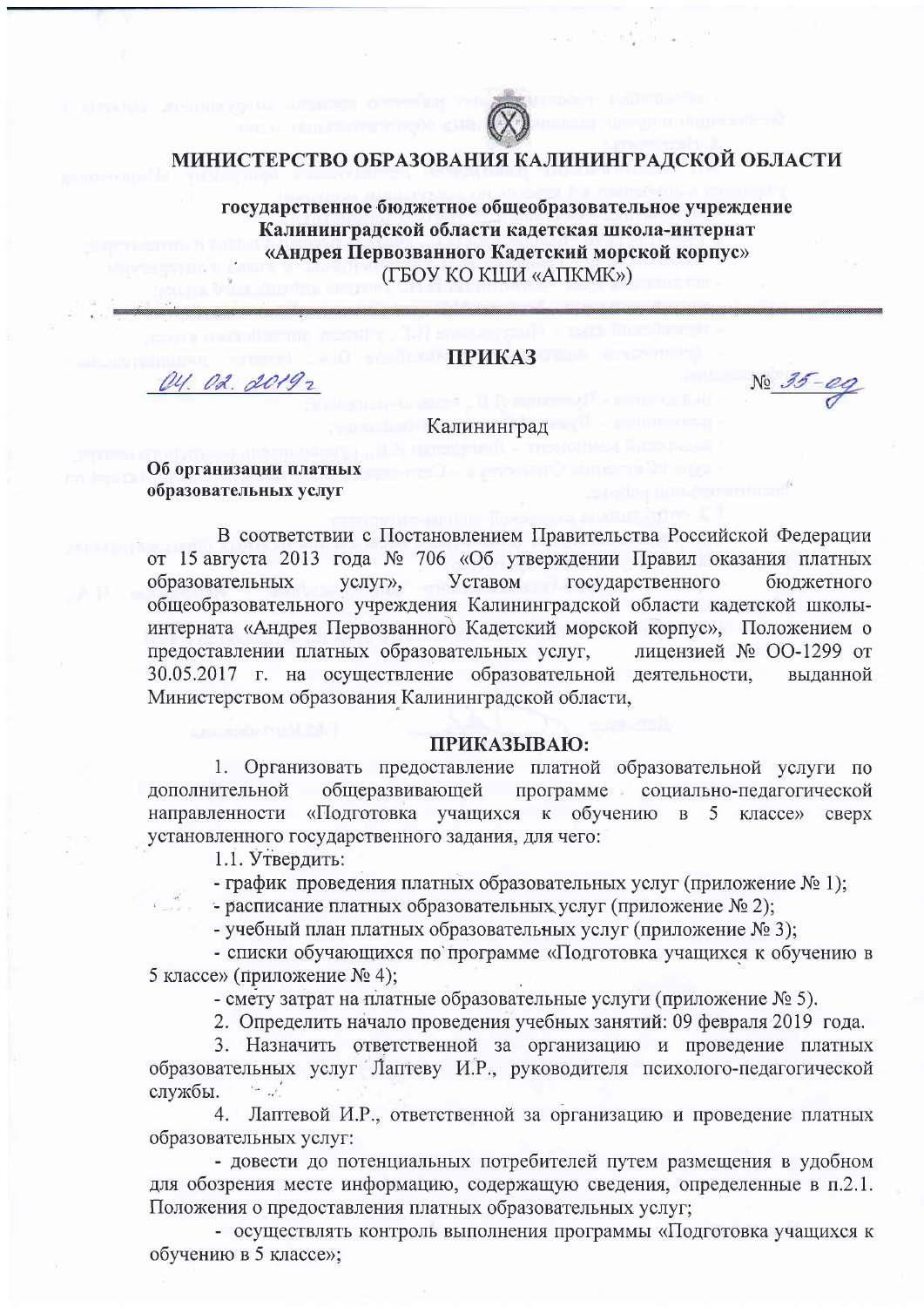

### МИНИСТЕРСТВО ОБРАЗОВАНИЯ КАЛИНИНГРАДСКОЙ ОБЛАСТИ

государственное бюджетное общеобразовательное учреждение Калининградской области кадетская школа-интернат «Андрея Первозванного Кадетский морской корпус» (ГБОУ КО КШИ «АПКМК»)

### **ПРИКАЗ**

No 35-eg

Калининград

### Об организации платных образовательных услуг

OU. O.L. 20192

В соответствии с Постановлением Правительства Российской Федерации от 15 августа 2013 года № 706 «Об утверждении Правил оказания платных образовательных Уставом государственного услуг», бюджетного общеобразовательного учреждения Калининградской области кадетской школыинтерната «Андрея Первозванного Кадетский морской корпус», Положением о предоставлении платных образовательных услуг, лицензией № ОО-1299 от 30.05.2017 г. на осуществление образовательной деятельности, выланной Министерством образования Калининградской области,

### ПРИКАЗЫВАЮ:

1. Организовать предоставление платной образовательной услуги по общеразвивающей программе социально-педагогической дополнительной направленности «Подготовка учащихся к обучению в 5 классе» сверх установленного государственного задания, для чего:

1.1. Утвердить:

- график проведения платных образовательных услуг (приложение № 1);

- расписание платных образовательных услуг (приложение  $\mathcal{N}_2$ 2);

- учебный план платных образовательных услуг (приложение № 3);

- списки обучающихся по программе «Подготовка учащихся к обучению в 5 классе» (приложение № 4);

- смету затрат на платные образовательные услуги (приложение  $N_2$  5).

2. Определить начало проведения учебных занятий: 09 февраля 2019 года.

3. Назначить ответственной за организацию и проведение платных образовательных услуг Лаптеву И.Р., руководителя психолого-педагогической ايل جا службы.

4. Лаптевой И.Р., ответственной за организацию и проведение платных образовательных услуг:

- довести до потенциальных потребителей путем размещения в удобном для обозрения месте информацию, содержащую сведения, определенные в п.2.1. Положения о предоставления платных образовательных услуг;

- осуществлять контроль выполнения программы «Подготовка учащихся к обучению в 5 классе»: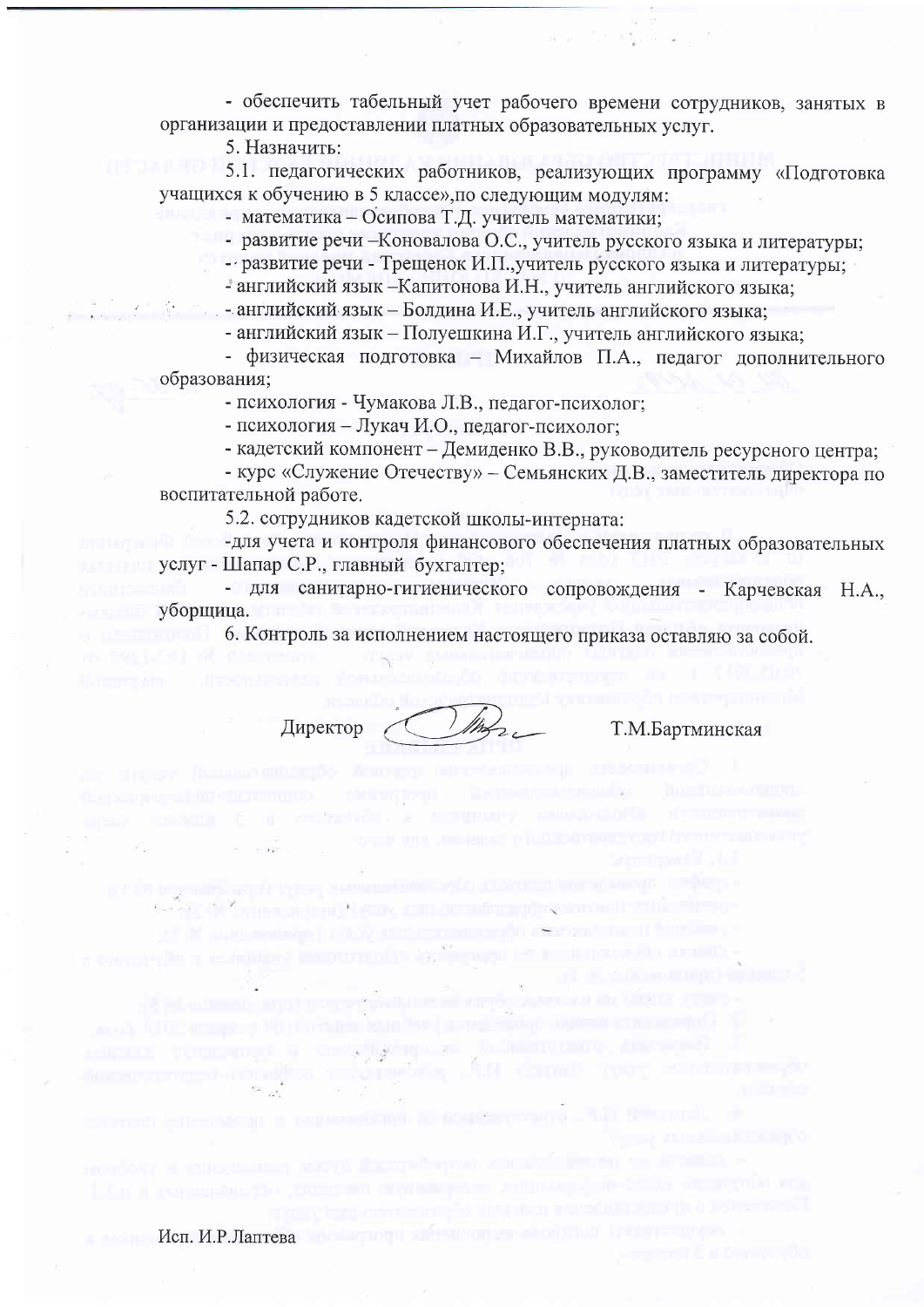- обеспечить табельный учет рабочего времени сотрудников, занятых в организации и предоставлении платных образовательных услуг.

5. Назначить:

5.1. педагогических работников, реализующих программу «Подготовка учащихся к обучению в 5 классе», по следующим модулям:

- математика - Осипова Т.Д. учитель математики;

- развитие речи - Коновалова О.С., учитель русского языка и литературы;

- развитие речи - Трещенок И.П., учитель русского языка и литературы:

- английский язык -Капитонова И.Н., учитель английского языка:

- английский язык - Болдина И.Е., учитель английского языка;

- английский язык – Полуешкина И.Г., учитель английского языка:

- физическая подготовка - Михайлов П.А., педагог дополнительного образования;

- психология - Чумакова Л.В., педагог-психолог;

- психология - Лукач И.О., педагог-психолог;

- кадетский компонент - Демиденко В.В., руководитель ресурсного центра:

- курс «Служение Отечеству» - Семьянских Д.В., заместитель директора по воспитательной работе.

5.2. сотрудников кадетской школы-интерната:

-для учета и контроля финансового обеспечения платных образовательных услуг - Шапар С.Р., главный бухгалтер;

- для санитарно-гигиенического сопровождения - Карчевская Н.А., уборщица.

6. Контроль за исполнением настоящего приказа оставляю за собой.

Директор

Т.М.Бартминская

Исп. И.Р.Лаптева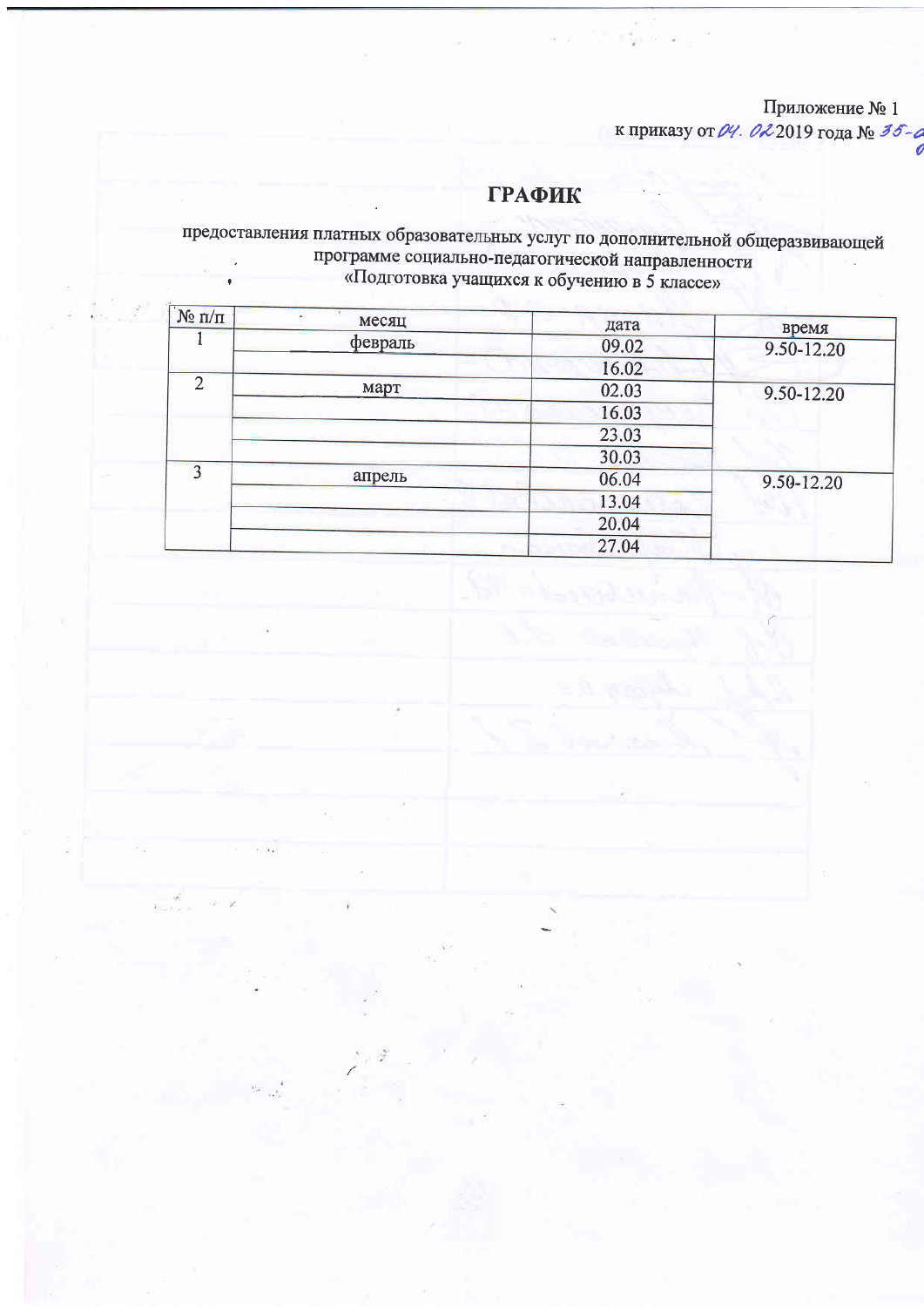## Приложение № 1

к приказу от  $\mathcal{U}$ . 02 2019 года № 35-6

## **ГРАФИК**

 $(30 - 1)$ 

Victoria a L

# предоставления платных образовательных услуг по дополнительной общеразвивающей<br>программе социально-педагогической направленности<br>«Подготовка учащихся к обучению в 5 классе»

| N <sub>2</sub> π/π | месяц         | дата       | время      |  |
|--------------------|---------------|------------|------------|--|
|                    | февраль       | 09.02      | 9.50-12.20 |  |
|                    |               | 16.02      |            |  |
| $\overline{2}$     | март<br>02.03 | 9.50-12.20 |            |  |
|                    |               | 16.03      |            |  |
|                    |               | 23.03      |            |  |
|                    |               | 30.03      |            |  |
| 3                  | апрель        | 06.04      | 9.50-12.20 |  |
|                    |               | 13.04      |            |  |
|                    |               | 20.04      |            |  |
|                    |               |            | 27.04      |  |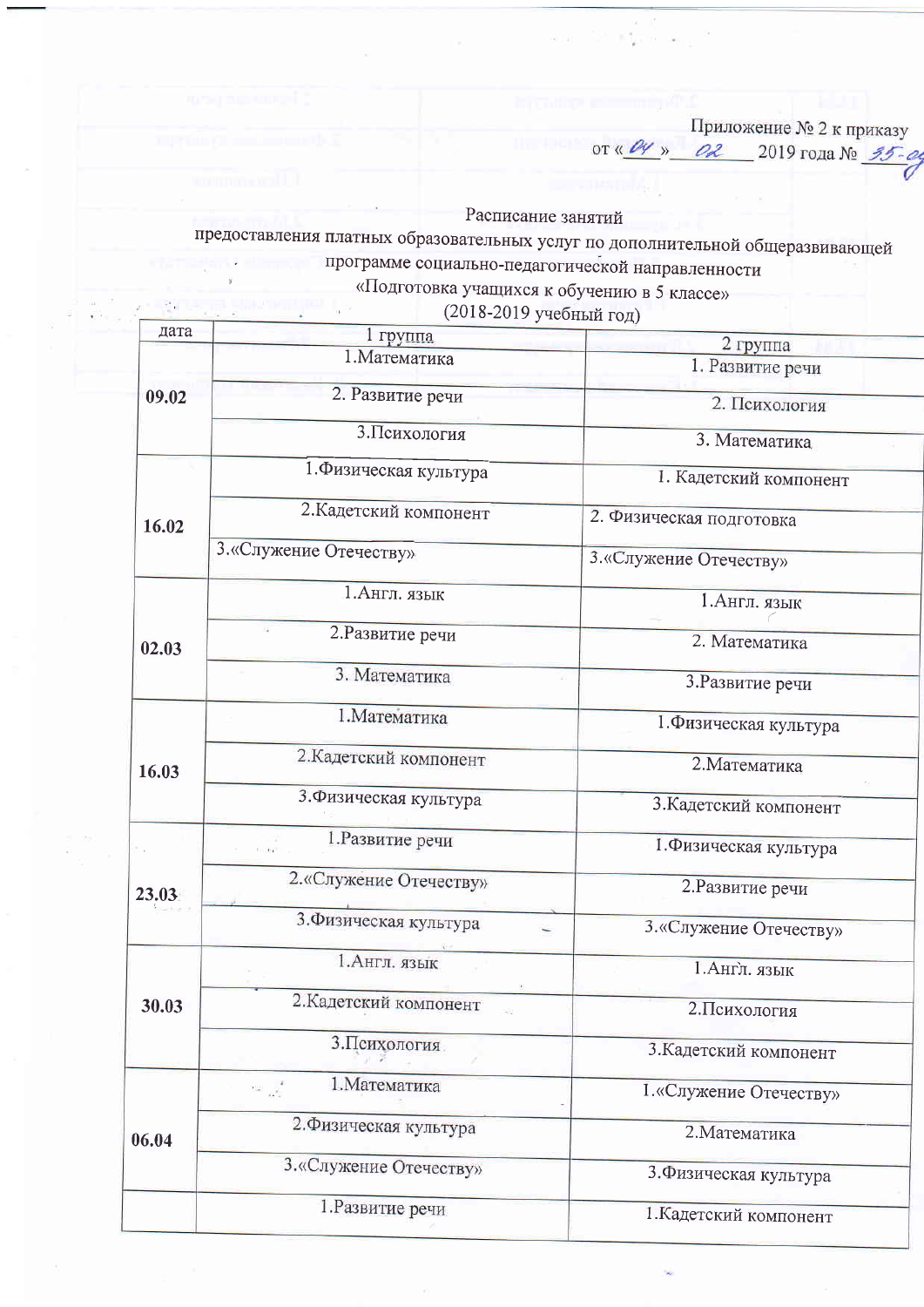Приложение № 2 к приказу<br>or «  $\frac{\rho y}{x}$  » \_ 02 \_ 2019 года № 35-04

 $\mathbb{I}_\mathbb{R}$ 

Расписание занятий

предоставления платных образовательных услуг по дополнительной общеразвивающей программе социально-педагогической направленности

«Подготовка учащихся к обучению в 5 классе»

| дата                   | (2018-2019 учеоный год)<br>1 группа     |                          |
|------------------------|-----------------------------------------|--------------------------|
|                        | 1. Математика                           | 2 группа                 |
|                        |                                         | 1. Развитие речи         |
| 09.02                  | 2. Развитие речи                        | 2. Психология            |
|                        | 3. Психология                           | 3. Математика            |
|                        | 1. Физическая культура                  | 1. Кадетский компонент   |
| 16.02                  | 2. Кадетский компонент                  | 2. Физическая подготовка |
|                        | 3. «Служение Отечеству»                 | 3. «Служение Отечеству»  |
|                        | 1. Англ. язык                           | 1. Англ. язык            |
| 02.03                  | 2. Развитие речи                        | 2. Математика            |
|                        | 3. Математика                           | 3. Развитие речи         |
|                        | 1. Математика                           | 1. Физическая культура   |
| 16.03                  | 2. Кадетский компонент                  | 2. Математика            |
|                        | 3. Физическая культура                  | 3. Кадетский компонент   |
|                        | 1. Развитие речи                        | 1. Физическая культура   |
| 23.03                  | 2. «Служение Отечеству»                 | 2. Развитие речи         |
| 3. Физическая культура | 3. «Служение Отечеству»                 |                          |
|                        | 1. Англ. язык                           | 1. Англ. язык            |
| 30.03                  | 2. Кадетский компонент                  | 2. Психология            |
|                        | 3. Психология.                          | 3. Кадетский компонент   |
|                        | 1. Математика<br>$\sim \sqrt{\epsilon}$ | 1. «Служение Отечеству»  |
| 06.04                  | 2. Физическая культура                  | 2. Математика            |
|                        | 3. «Служение Отечеству»                 | 3. Физическая культура   |
|                        | 1. Развитие речи                        | 1. Калетский компонент   |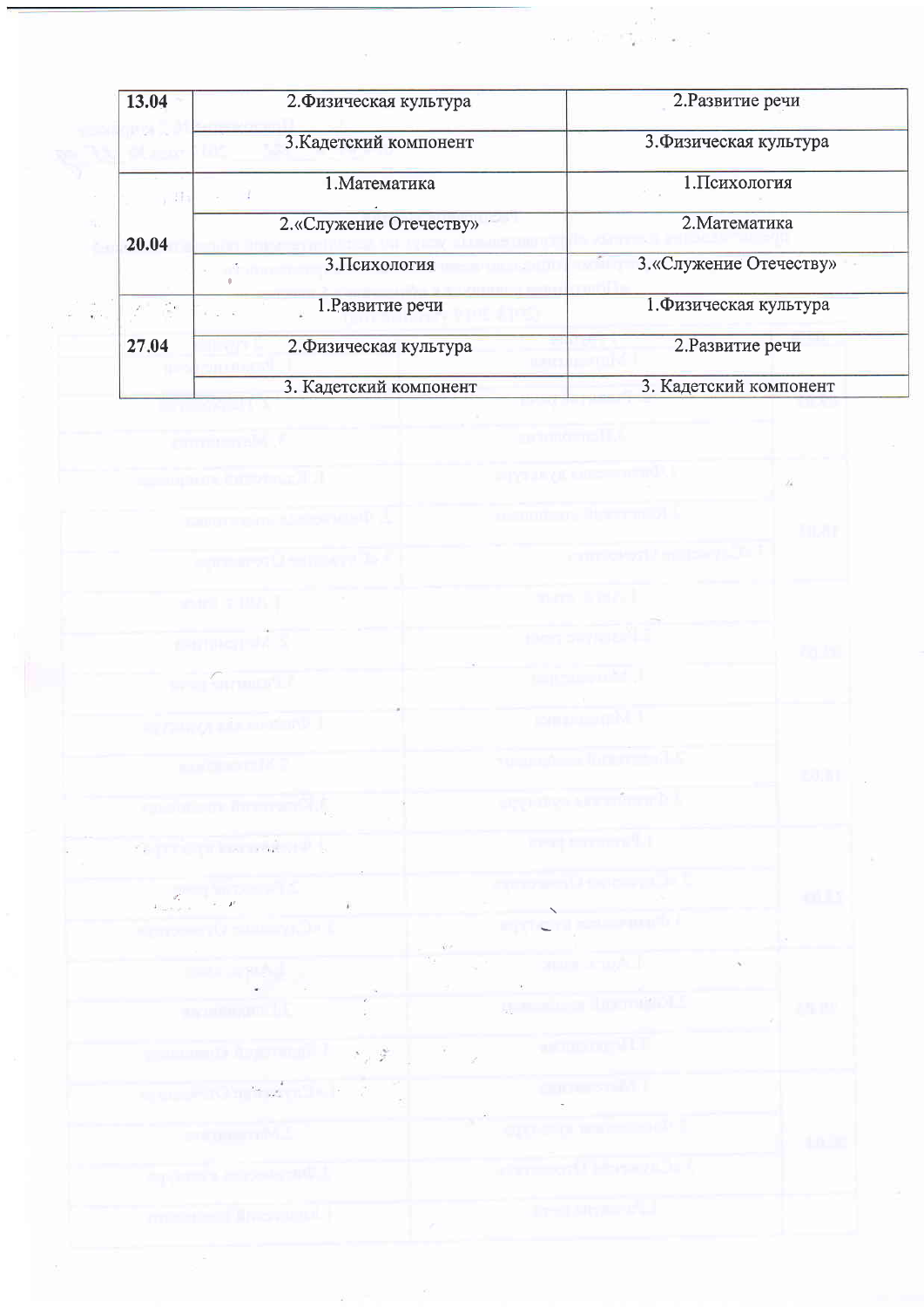| 13.04      | 2. Физическая культура             | 2. Развитие речи        |
|------------|------------------------------------|-------------------------|
|            | 3. Кадетский компонент             | 3. Физическая культура  |
|            | 1. Математика<br>圈                 | 1. Психология           |
| 20.04      | 2. «Служение Отечеству»            | 2. Математика           |
|            | 3. Психология                      | 3. «Служение Отечеству» |
| $\sqrt{2}$ | 1. Развитие речи<br>$10 - 10 = 10$ | 1. Физическая культура  |
| 27.04      | 2. Физическая культура             | 2. Развитие речи        |
|            | 3. Кадетский компонент             | 3. Кадетский компонент  |

 $\frac{1}{2}$ 

 $\frac{1}{2}$ 

 $\label{eq:2.1} \begin{array}{ll} \alpha & \mu = \frac{1}{\sqrt{2}} & \frac{\alpha - \beta}{\alpha} & \mu \\ \alpha & \mu = \frac{1}{\sqrt{2}} & \frac{\alpha}{\alpha} \mu, \ \alpha \cdot \mu \alpha \leq \mu \end{array}$ 

| communicated of                                                                                                                                      | primárnal Li                                       |                |
|------------------------------------------------------------------------------------------------------------------------------------------------------|----------------------------------------------------|----------------|
| survey have been made in                                                                                                                             | <b>PINTING OFFICER</b>                             | $\pm$ $24$     |
| rangement to the analysis.                                                                                                                           | commune from a A                                   | <b>TILAR</b>   |
| <b>Commod Himsel</b>                                                                                                                                 | constrain perchi-                                  |                |
| when a mis-1                                                                                                                                         | men terral.                                        |                |
| Company of K                                                                                                                                         | then any round in                                  | <b>Pa Inc.</b> |
| $\sim$ . Summer $\sigma$                                                                                                                             | <b>District Of A</b>                               |                |
| <b><i><u>REGIONAL CONSTANTION</u></i></b>                                                                                                            | <b>Companing M.T.</b>                              |                |
| <b>COLORENCE</b>                                                                                                                                     | <b>Number of the first of the</b>                  | euni           |
| igida paman Ali,                                                                                                                                     | ary the American M                                 |                |
| <b>Game primaries with a</b>                                                                                                                         | magiconomiki                                       |                |
| $\label{eq:2} \frac{g^2}{4\log\log\epsilon} = \frac{1}{\sqrt{\epsilon_1}}\frac{\ln\left(1+\frac{1}{\epsilon_1}-1\right)}{f^2}$                       | <b>Contract District Contract</b>                  | -oLLY          |
| <b>Nemocently summyride i</b>                                                                                                                        | meterapes sports                                   |                |
| $\overline{\mathbb{D}^{(1)}} \to \mathbb{P}^{(1)} \to \mathbb{P}_{\mathbb{P}^{(1)}}$                                                                 | <b>Supervisory</b>                                 |                |
| supporting provide                                                                                                                                   | ganada or Dominical C                              | 25 P.          |
| , a member of the function $\mathbb{E}\left[\mathcal{L}_{\mathcal{A}}\left(\mathcal{L}_{\mathcal{A}}\right)\right]$ . If $\mathcal{L}_{\mathcal{A}}$ | al Commercial Lil                                  |                |
| $\mathbb{E}[\mathbf{w}_i, \mathbf{w}_j] = \mathbb{E}[\mathbf{w}_i, \mathbf{w}_j]$ , where $\mathbb{E}[\mathbf{w}_i, \mathbf{w}_j]$                   | COORD START L                                      |                |
| pring manning M.J.                                                                                                                                   | $\sigma$ and $\sigma$ is the set of $\mathbb{R}^n$ | to at 1        |
| implementat in novel spart, t                                                                                                                        | التاقيع موركينا أتتحدث تتناب                       |                |
| ment in the state with a                                                                                                                             | <b>DESIGNATION</b><br>$\mathcal{E}$                |                |

 $2\%$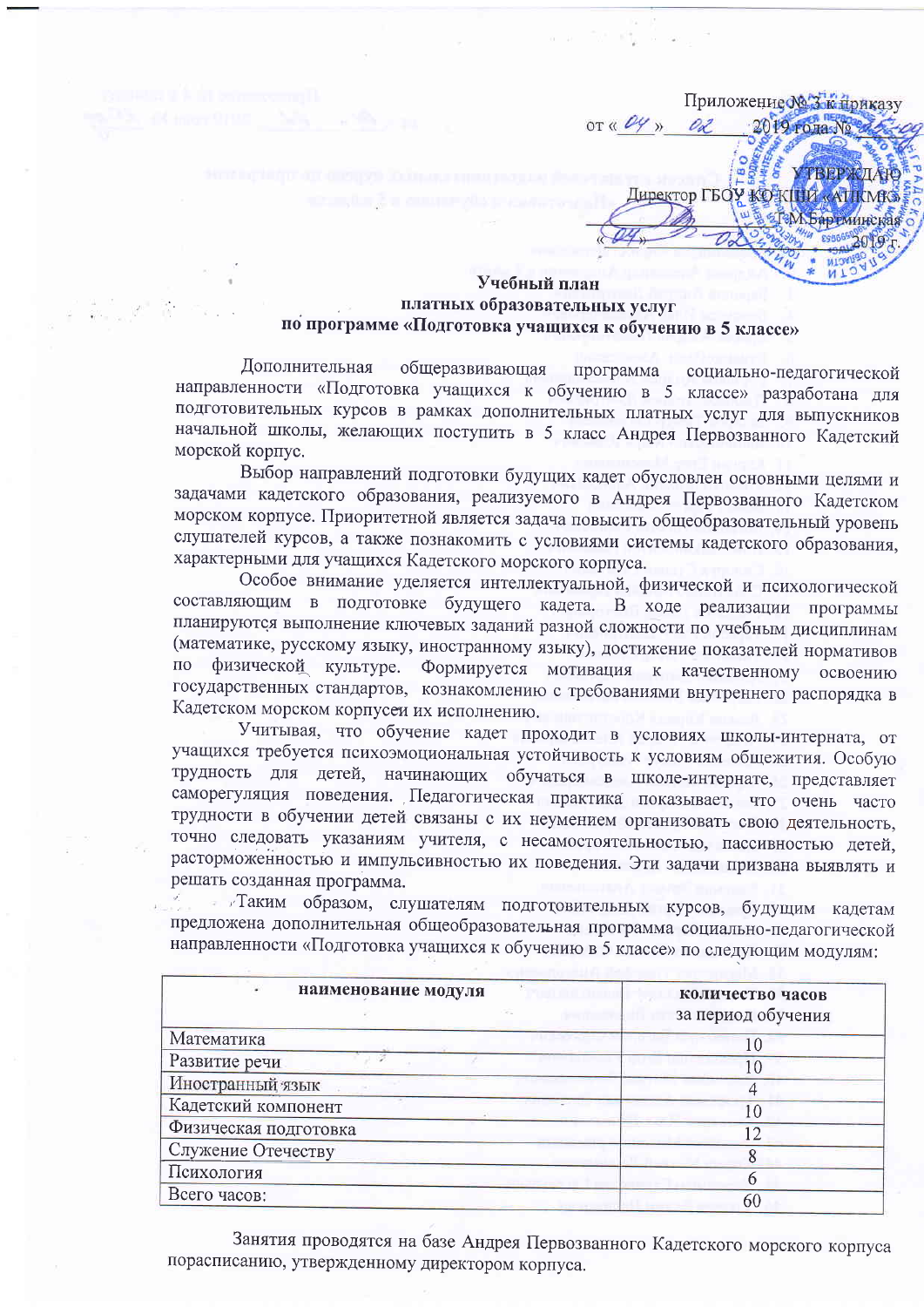Приложение № 3 к приказу OT  $\left\langle \frac{\rho}{\gamma} \right\rangle$ 2019 года № 02 **TERP**X Директор ГБОУ КОЖШИ «АПКМК». **«ТеМ Бартминская** 

### Учебный план платных образовательных услуг по программе «Подготовка учащихся к обучению в 5 классе»

Дополнительная общеразвивающая программа социально-педагогической направленности «Подготовка учащихся к обучению в 5 классе» разработана для подготовительных курсов в рамках дополнительных платных услуг для выпускников начальной школы, желающих поступить в 5 класс Андрея Первозванного Кадетский морской корпус.

Выбор направлений подготовки будущих кадет обусловлен основными целями и задачами кадетского образования, реализуемого в Андрея Первозванного Кадетском морском корпусе. Приоритетной является задача повысить общеобразовательный уровень слушателей курсов, а также познакомить с условиями системы кадетского образования, характерными для учащихся Кадетского морского корпуса.

Особое внимание уделяется интеллектуальной, физической и психологической составляющим в подготовке будущего кадета. В ходе реализации программы планируются выполнение ключевых заданий разной сложности по учебным дисциплинам (математике, русскому языку, иностранному языку), достижение показателей нормативов по физической культуре. Формируется мотивация к качественному освоению государственных стандартов, кознакомлению с требованиями внутреннего распорядка в Кадетском морском корпусеи их исполнению.

Учитывая, что обучение кадет проходит в условиях школы-интерната, от учащихся требуется психоэмоциональная устойчивость к условиям общежития. Особую трудность для детей, начинающих обучаться в школе-интернате, представляет саморегуляция поведения. Педагогическая практика показывает, что очень часто трудности в обучении детей связаны с их неумением организовать свою деятельность, точно следовать указаниям учителя, с несамостоятельностью, пассивностью детей, расторможенностью и импульсивностью их поведения. Эти задачи призвана выявлять и решать созданная программа.

- Таким образом, слушателям подготовительных курсов, будущим кадетам предложена дополнительная общеобразовательная программа социально-педагогической направленности «Подготовка учащихся к обучению в 5 классе» по следующим модулям:

| наименование модуля<br><b>COLLECTION</b> | количество часов<br>за период обучения |
|------------------------------------------|----------------------------------------|
| Математика                               |                                        |
| Развитие речи                            |                                        |
| Иностранный язык                         |                                        |
| Кадетский компонент                      |                                        |
| Физическая подготовка                    |                                        |
| Служение Отечеству                       |                                        |
| Психология                               |                                        |
| Всего часов:                             | 60                                     |
|                                          |                                        |

Занятия проводятся на базе Андрея Первозванного Кадетского морского корпуса порасписанию, утвержденному директором корпуса.